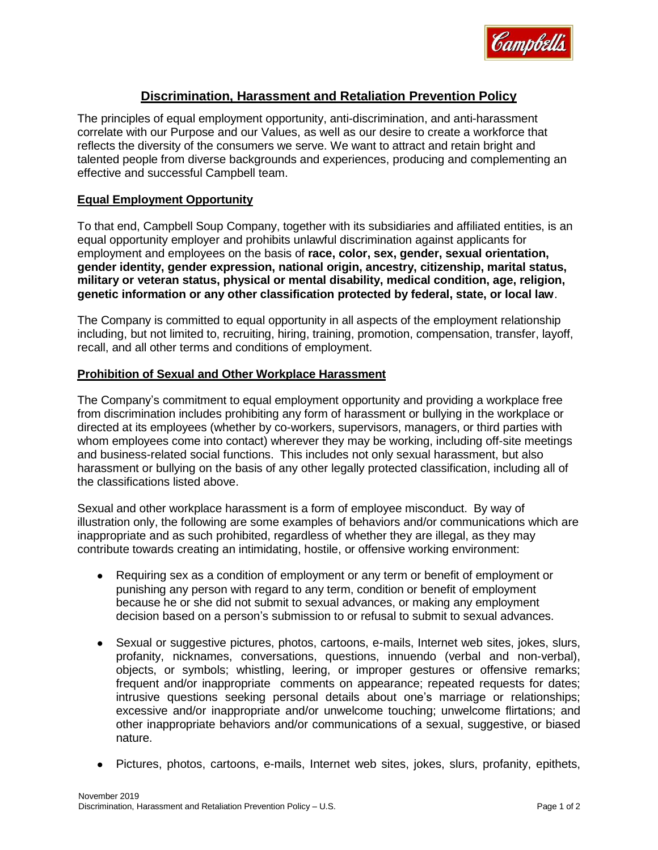

# **Discrimination, Harassment and Retaliation Prevention Policy**

The principles of equal employment opportunity, anti-discrimination, and anti-harassment correlate with our Purpose and our Values, as well as our desire to create a workforce that reflects the diversity of the consumers we serve. We want to attract and retain bright and talented people from diverse backgrounds and experiences, producing and complementing an effective and successful Campbell team.

#### **Equal Employment Opportunity**

To that end, Campbell Soup Company, together with its subsidiaries and affiliated entities, is an equal opportunity employer and prohibits unlawful discrimination against applicants for employment and employees on the basis of **race, color, sex, gender, sexual orientation, gender identity, gender expression, national origin, ancestry, citizenship, marital status, military or veteran status, physical or mental disability, medical condition, age, religion, genetic information or any other classification protected by federal, state, or local law**.

The Company is committed to equal opportunity in all aspects of the employment relationship including, but not limited to, recruiting, hiring, training, promotion, compensation, transfer, layoff, recall, and all other terms and conditions of employment.

#### **Prohibition of Sexual and Other Workplace Harassment**

The Company's commitment to equal employment opportunity and providing a workplace free from discrimination includes prohibiting any form of harassment or bullying in the workplace or directed at its employees (whether by co-workers, supervisors, managers, or third parties with whom employees come into contact) wherever they may be working, including off-site meetings and business-related social functions. This includes not only sexual harassment, but also harassment or bullying on the basis of any other legally protected classification, including all of the classifications listed above.

Sexual and other workplace harassment is a form of employee misconduct. By way of illustration only, the following are some examples of behaviors and/or communications which are inappropriate and as such prohibited, regardless of whether they are illegal, as they may contribute towards creating an intimidating, hostile, or offensive working environment:

- Requiring sex as a condition of employment or any term or benefit of employment or punishing any person with regard to any term, condition or benefit of employment because he or she did not submit to sexual advances, or making any employment decision based on a person's submission to or refusal to submit to sexual advances.
- Sexual or suggestive pictures, photos, cartoons, e-mails, Internet web sites, jokes, slurs, profanity, nicknames, conversations, questions, innuendo (verbal and non-verbal), objects, or symbols; whistling, leering, or improper gestures or offensive remarks; frequent and/or inappropriate comments on appearance; repeated requests for dates; intrusive questions seeking personal details about one's marriage or relationships; excessive and/or inappropriate and/or unwelcome touching; unwelcome flirtations; and other inappropriate behaviors and/or communications of a sexual, suggestive, or biased nature.
- Pictures, photos, cartoons, e-mails, Internet web sites, jokes, slurs, profanity, epithets,